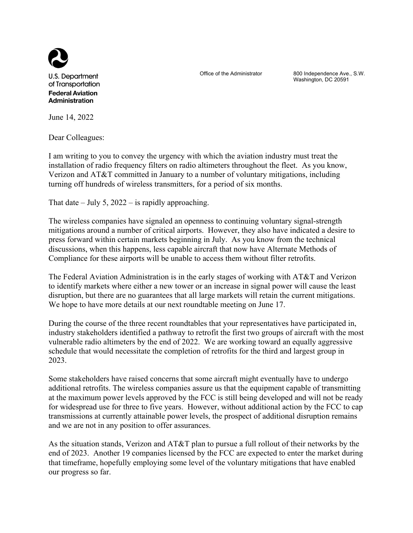

U.S. Department of Transportation **Federal Aviation Administration** 

Office of the Administrator 800 Independence Ave., S.W. Washington, DC 20591

June 14, 2022

Dear Colleagues:

I am writing to you to convey the urgency with which the aviation industry must treat the installation of radio frequency filters on radio altimeters throughout the fleet. As you know, Verizon and AT&T committed in January to a number of voluntary mitigations, including turning off hundreds of wireless transmitters, for a period of six months.

That date – July 5, 2022 – is rapidly approaching.

The wireless companies have signaled an openness to continuing voluntary signal-strength mitigations around a number of critical airports. However, they also have indicated a desire to press forward within certain markets beginning in July. As you know from the technical discussions, when this happens, less capable aircraft that now have Alternate Methods of Compliance for these airports will be unable to access them without filter retrofits.

The Federal Aviation Administration is in the early stages of working with AT&T and Verizon to identify markets where either a new tower or an increase in signal power will cause the least disruption, but there are no guarantees that all large markets will retain the current mitigations. We hope to have more details at our next roundtable meeting on June 17.

During the course of the three recent roundtables that your representatives have participated in, industry stakeholders identified a pathway to retrofit the first two groups of aircraft with the most vulnerable radio altimeters by the end of 2022. We are working toward an equally aggressive schedule that would necessitate the completion of retrofits for the third and largest group in 2023.

Some stakeholders have raised concerns that some aircraft might eventually have to undergo additional retrofits. The wireless companies assure us that the equipment capable of transmitting at the maximum power levels approved by the FCC is still being developed and will not be ready for widespread use for three to five years. However, without additional action by the FCC to cap transmissions at currently attainable power levels, the prospect of additional disruption remains and we are not in any position to offer assurances.

As the situation stands, Verizon and AT&T plan to pursue a full rollout of their networks by the end of 2023. Another 19 companies licensed by the FCC are expected to enter the market during that timeframe, hopefully employing some level of the voluntary mitigations that have enabled our progress so far.